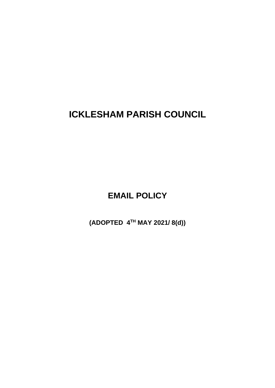**ICKLESHAM PARISH COUNCIL**

**EMAIL POLICY**

**(ADOPTED 4TH MAY 2021/ 8(d))**